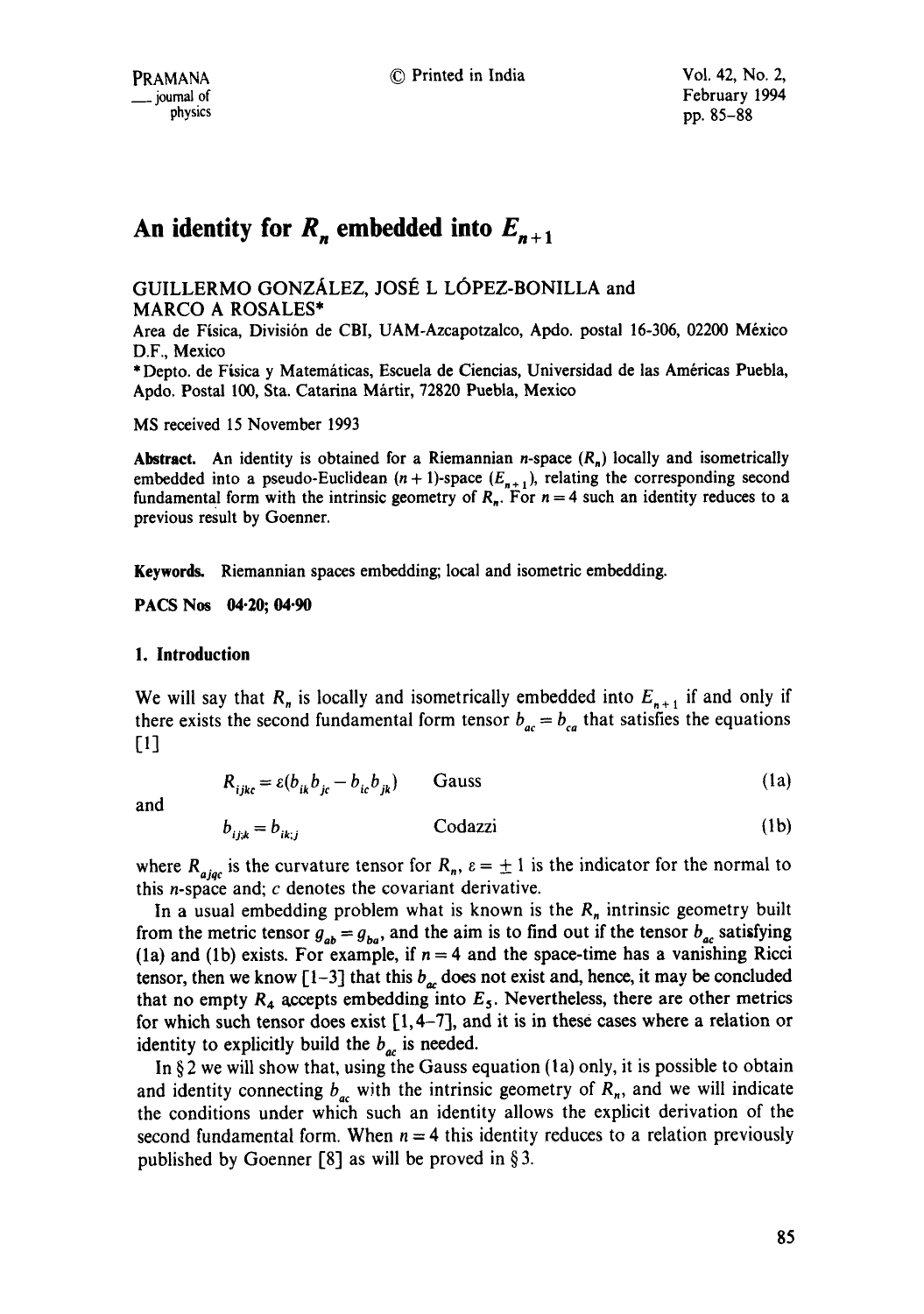# An identity for  $R_n$  embedded into  $E_{n+1}$

GUILLERMO GONZÁLEZ, JOSÉ L LÓPEZ-BONILLA and MARCO A ROSALES\*

Area de Física, División de CBI, UAM-Azcapotzalco, Apdo. postal 16-306, 02200 México D.F., Mexico

\* Depto. de Física y Matemáticas, Escuela de Ciencias, Universidad de las Américas Puebla, Apdo. Postal 100, Sta. Catarina Mártir, 72820 Puebla, Mexico

MS received 15 November 1993

**Abstract.** An identity is obtained for a Riemannian *n*-space  $(R_n)$  locally and isometrically embedded into a pseudo-Euclidean  $(n + 1)$ -space  $(E_{n+1})$ , relating the corresponding second fundamental form with the intrinsic geometry of  $R_n$ . For  $n = 4$  such an identity reduces to a previous result by Goenner.

**Keywords.** Riemannian spaces embedding; local and isometric embedding.

**PACS Nos 04-20; 04.90** 

#### **1. Introduction**

We will say that  $R_n$  is locally and isometrically embedded into  $E_{n+1}$  if and only if there exists the second fundamental form tensor  $b_{ac} = b_{ca}$  that satisfies the equations [1]

$$
R_{ijkc} = \varepsilon (b_{ik} b_{jc} - b_{ic} b_{jk})
$$
 Gauss (1a)

and

$$
b_{i+k} = b_{ik+i} \qquad \qquad \text{Codazzi} \tag{1b}
$$

where  $R_{\text{ajac}}$  is the curvature tensor for  $R_n$ ,  $\varepsilon = \pm 1$  is the indicator for the normal to this *n*-space and;  $c$  denotes the covariant derivative.

In a usual embedding problem what is known is the  $R_n$  intrinsic geometry built from the metric tensor  $g_{ab} = g_{ba}$ , and the aim is to find out if the tensor  $b_{ac}$  satisfying (1a) and (1b) exists. For example, if  $n = 4$  and the space-time has a vanishing Ricci tensor, then we know [1-3] that this  $b_{\alpha}$  does not exist and, hence, it may be concluded that no empty  $R_4$  accepts embedding into  $E_5$ . Nevertheless, there are other metrics for which such tensor does exist  $[1, 4-7]$ , and it is in these cases where a relation or identity to explicitly build the  $b_{ac}$  is needed.

In  $\S$ 2 we will show that, using the Gauss equation (1a) only, it is possible to obtain and identity connecting  $b_{ac}$  with the intrinsic geometry of  $R_n$ , and we will indicate the conditions under which such an identity allows the explicit derivation of the second fundamental form. When  $n = 4$  this identity reduces to a relation previously published by Goenner [8] as will be proved in  $\S 3$ .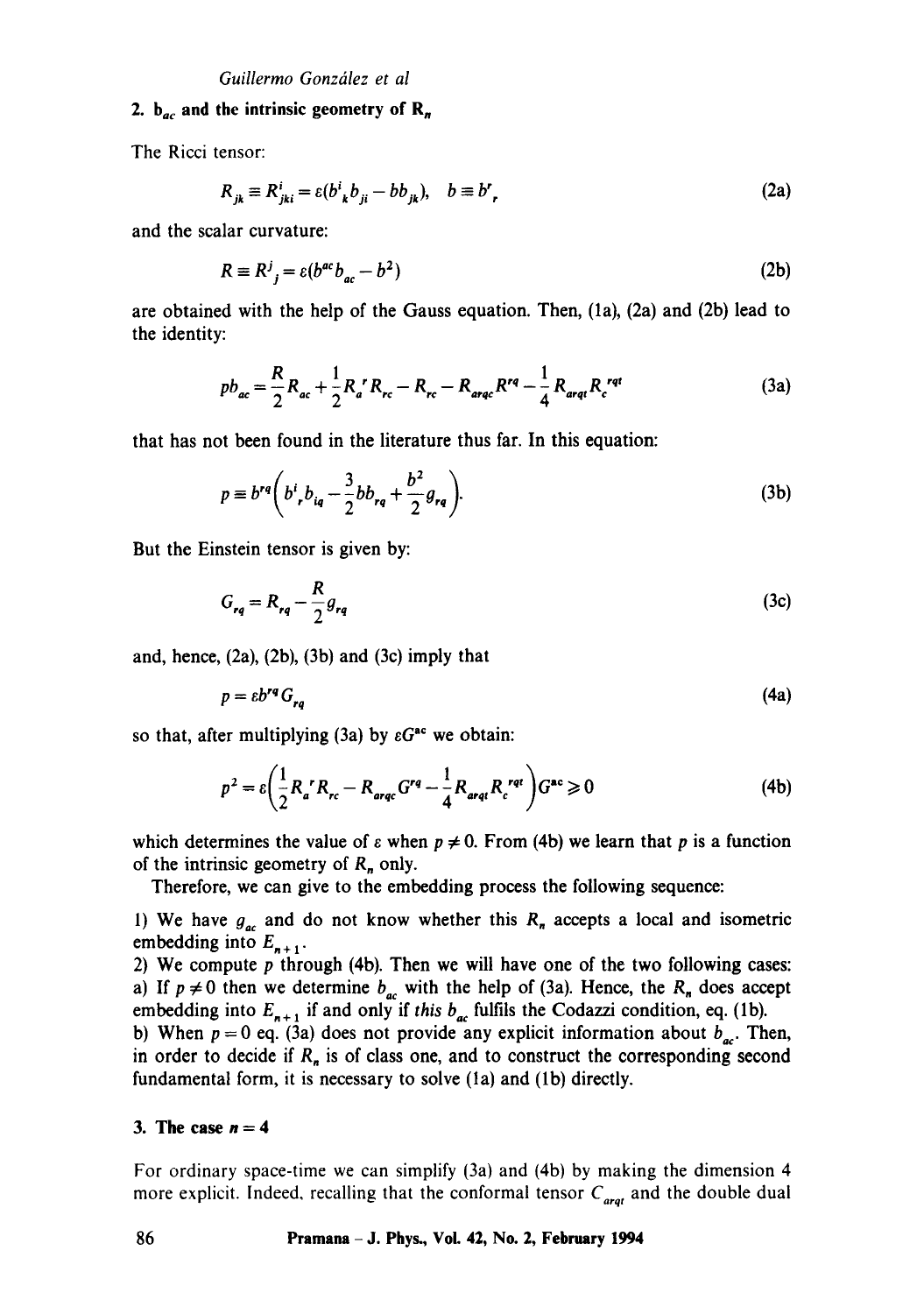#### **2.**  $b_{ac}$  and the intrinsic geometry of  $R_n$

The Ricci tensor:

$$
R_{jk} \equiv R^i_{jki} = \varepsilon (b^i_{\ k} b_{ji} - b b_{jk}), \quad b \equiv b^r,
$$
 (2a)

and the scalar curvature:

$$
R \equiv R^j{}_{j} = \varepsilon (b^{ac} b_{ac} - b^2) \tag{2b}
$$

are obtained with the help of the Gauss equation. Then, (la), (2a) and (2b) lead to the identity:

$$
pb_{ac} = \frac{R}{2}R_{ac} + \frac{1}{2}R_{a}^{\ \ r}R_{rc} - R_{rc} - R_{arqc}R^{rq} - \frac{1}{4}R_{arqt}R_{c}^{\ rqt}
$$
 (3a)

that has not been found in the literature thus far. In this equation:

$$
p \equiv b^{rq} \left( b^i_{r} b_{iq} - \frac{3}{2} b b_{rq} + \frac{b^2}{2} g_{rq} \right).
$$
 (3b)

But the Einstein tensor is given by:

$$
G_{rq} = R_{rq} - \frac{R}{2}g_{rq}
$$
 (3c)

and, hence,  $(2a)$ ,  $(2b)$ ,  $(3b)$  and  $(3c)$  imply that

$$
p = \varepsilon b^{rq} G_{rq} \tag{4a}
$$

so that, after multiplying (3a) by  $\epsilon G^{ac}$  we obtain:

$$
p^{2} = \varepsilon \left( \frac{1}{2} R_{a}^{\ \ r} R_{rc} - R_{\text{argc}} G^{\text{rq}} - \frac{1}{4} R_{\text{argt}} R_{c}^{\ \text{rqt}} \right) G^{\text{ac}} \ge 0
$$
 (4b)

which determines the value of  $\varepsilon$  when  $p \neq 0$ . From (4b) we learn that p is a function of the intrinsic geometry of  $R_n$  only.

Therefore, we can give to the embedding process the following sequence:

1) We have  $g_{ac}$  and do not know whether this  $R_n$  accepts a local and isometric embedding into  $E_{n+1}$ .

2) We compute  $p$  through (4b). Then we will have one of the two following cases: a) If  $p \neq 0$  then we determine  $b_{ac}$  with the help of (3a). Hence, the  $R_n$  does accept embedding into  $E_{n+1}$  if and only if *this*  $b_{ac}$  fulfils the Codazzi condition, eq. (1b).

b) When  $p = 0$  eq. (3a) does not provide any explicit information about  $b_{ac}$ . Then, in order to decide if  $R_n$  is of class one, and to construct the corresponding second fundamental form, it is necessary to solve (1a) and (1b) directly.

#### **3.** The case  $n = 4$

For ordinary space-time we can simplify (3a) and (4b) by making the dimension 4 more explicit. Indeed, recalling that the conformal tensor  $C_{\text{arat}}$  and the double dual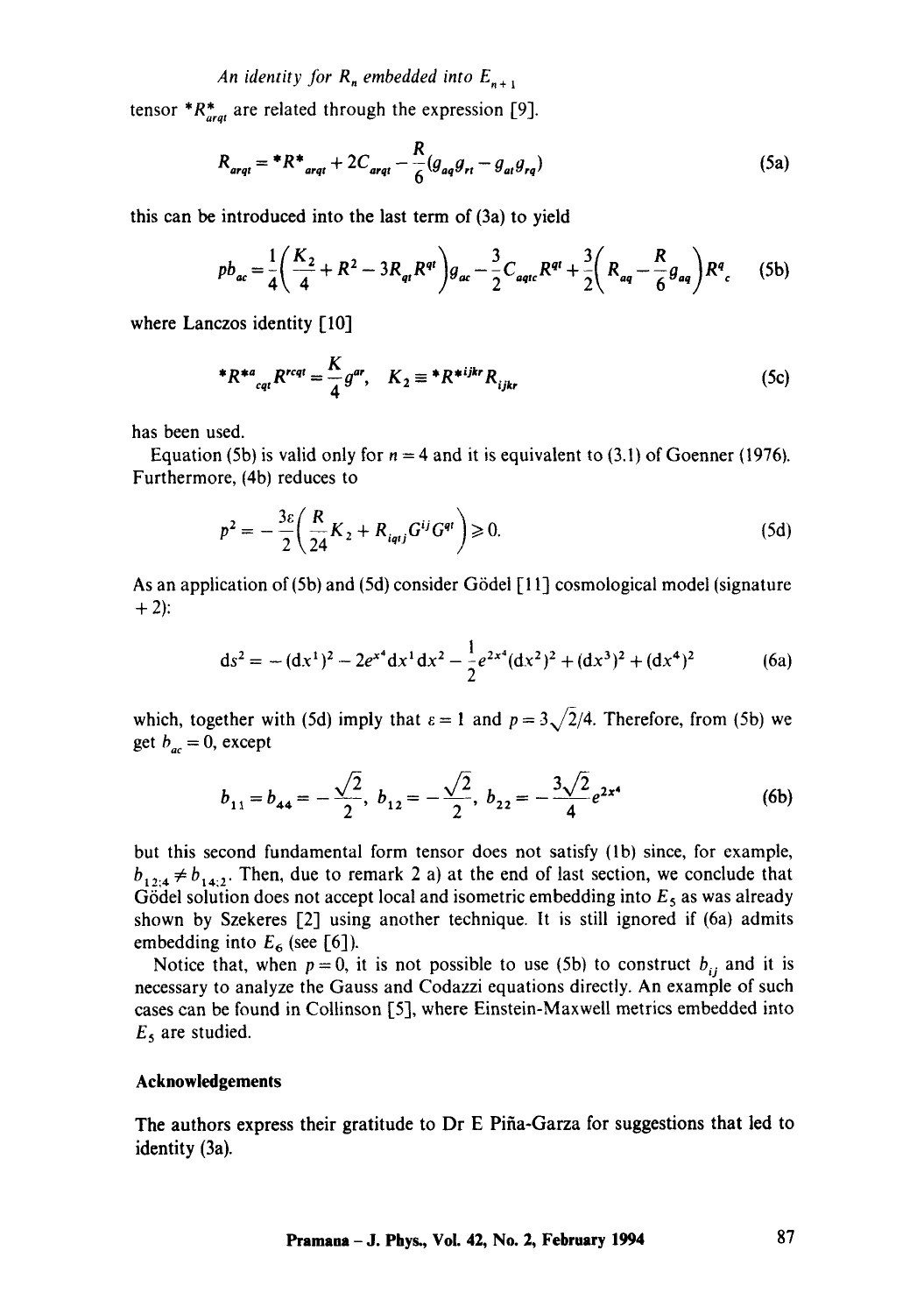tensor  $^*R_{\text{arat}}^*$  are related through the expression [9].

$$
R_{\text{arqt}} = {}^{*}R^{*}_{\text{arqt}} + 2C_{\text{arqt}} - \frac{R}{6}(g_{\text{aq}}g_{\text{rt}} - g_{\text{at}}g_{\text{rq}})
$$
(5a)

this can be introduced into the last term of (3a) to yield

$$
pb_{ac} = \frac{1}{4}\left(\frac{K_2}{4} + R^2 - 3R_{qt}R^{qt}\right)g_{ac} - \frac{3}{2}C_{aqtc}R^{qt} + \frac{3}{2}\left(R_{aq} - \frac{R}{6}g_{aq}\right)R^q{}_c\tag{5b}
$$

where Lanczos identity [10]

$$
{}^*R^{*a}{}_{eq}R^{rcqt} = \frac{K}{4}g^{ar}, \quad K_2 \equiv {}^*R^{*ijkr}R_{ijkr}
$$
 (5c)

has been used.

Equation (5b) is valid only for  $n = 4$  and it is equivalent to (3.1) of Goenner (1976). Furthermore, (4b) reduces to

$$
p^2 = -\frac{3\varepsilon}{2} \left( \frac{R}{24} K_2 + R_{i_{qij}} G^{ij} G^{qi} \right) \ge 0.
$$
 (5d)

As an application of (5b) and (5d) consider G6dei [11] cosmological model (signature  $+ 2$ :

$$
ds^{2} = -(dx^{1})^{2} - 2e^{x^{4}}dx^{1}dx^{2} - \frac{1}{2}e^{2x^{4}}(dx^{2})^{2} + (dx^{3})^{2} + (dx^{4})^{2}
$$
 (6a)

which, together with (5d) imply that  $\varepsilon = 1$  and  $p = 3\sqrt{2}/4$ . Therefore, from (5b) we get  $b_{ac} = 0$ , except

$$
b_{11} = b_{44} = -\frac{\sqrt{2}}{2}, b_{12} = -\frac{\sqrt{2}}{2}, b_{22} = -\frac{3\sqrt{2}}{4}e^{2x^4}
$$
 (6b)

but this second fundamental form tensor does not satisfy (lb) since, for example,  $b_{1,2,4} \neq b_{1,4,2}$ . Then, due to remark 2 a) at the end of last section, we conclude that Gödel solution does not accept local and isometric embedding into  $E_5$  as was already shown by Szekeres [2] using another technique. It is still ignored if (6a) admits embedding into  $E_6$  (see [6]).

Notice that, when  $p = 0$ , it is not possible to use (5b) to construct  $b_{ij}$  and it is necessary to analyze the Gauss and Codazzi equations directly. An example of such cases can be found in Collinson [5], where Einstein-Maxwell metrics embedded into  $E_5$  are studied.

#### **Acknowledgements**

**The authors express** their gratitude to Dr E Pifia-Garza for suggestions that led to identity (3a).